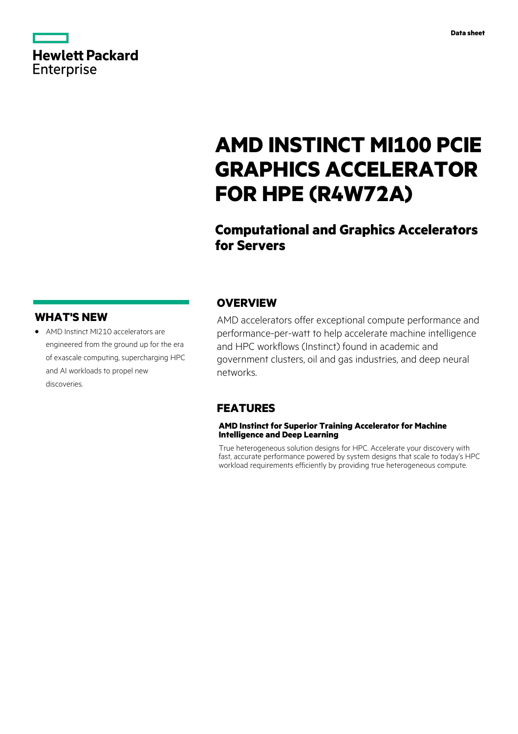|                   | <b>Hewlett Packard</b> |
|-------------------|------------------------|
| <b>Enterprise</b> |                        |

# **AMD INSTINCT MI100 PCIE GRAPHICS ACCELERATOR FOR HPE (R4W72A)**

# **Computational and Graphics Accelerators for Servers**

## **WHAT'S NEW**

**·** AMD Instinct MI210 accelerators are engineered from the ground up for the era of exascale computing, supercharging HPC and AI workloads to propel new discoveries.

### **OVERVIEW**

AMD accelerators offer exceptional compute performance and performance-per-watt to help accelerate machine intelligence and HPC workflows (Instinct) found in academic and government clusters, oil and gas industries, and deep neural networks.

## **FEATURES**

### **AMD Instinct for Superior Training Accelerator for Machine Intelligence and Deep Learning**

True heterogeneous solution designs for HPC. Accelerate your discovery with fast, accurate performance powered by system designs that scale to today's HPC workload requirements efficiently by providing true heterogeneous compute.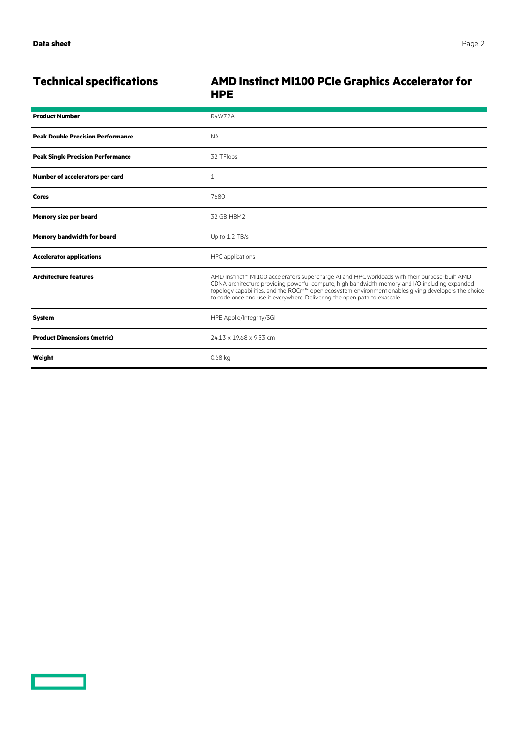$\overline{\phantom{0}}$ 

## **Technical specifications AMD Instinct MI100 PCIe Graphics Accelerator for HPE**

| <b>Product Number</b>                    | <b>R4W72A</b>                                                                                                                                                                                                                                                                                                                                                                         |
|------------------------------------------|---------------------------------------------------------------------------------------------------------------------------------------------------------------------------------------------------------------------------------------------------------------------------------------------------------------------------------------------------------------------------------------|
| <b>Peak Double Precision Performance</b> | <b>NA</b>                                                                                                                                                                                                                                                                                                                                                                             |
| <b>Peak Single Precision Performance</b> | 32 TFlops                                                                                                                                                                                                                                                                                                                                                                             |
| Number of accelerators per card          | $\mathbf{1}$                                                                                                                                                                                                                                                                                                                                                                          |
| Cores                                    | 7680                                                                                                                                                                                                                                                                                                                                                                                  |
| <b>Memory size per board</b>             | 32 GB HBM2                                                                                                                                                                                                                                                                                                                                                                            |
| <b>Memory bandwidth for board</b>        | Up to 1.2 TB/s                                                                                                                                                                                                                                                                                                                                                                        |
| <b>Accelerator applications</b>          | HPC applications                                                                                                                                                                                                                                                                                                                                                                      |
| <b>Architecture features</b>             | AMD Instinct™ MI100 accelerators supercharge AI and HPC workloads with their purpose-built AMD<br>CDNA architecture providing powerful compute, high bandwidth memory and I/O including expanded<br>topology capabilities, and the ROCm™ open ecosystem environment enables giving developers the choice<br>to code once and use it everywhere. Delivering the open path to exascale. |
| <b>System</b>                            | HPE Apollo/Integrity/SGI                                                                                                                                                                                                                                                                                                                                                              |
| <b>Product Dimensions (metric)</b>       | 24.13 x 19.68 x 9.53 cm                                                                                                                                                                                                                                                                                                                                                               |
| Weight                                   | 0.68 kg                                                                                                                                                                                                                                                                                                                                                                               |